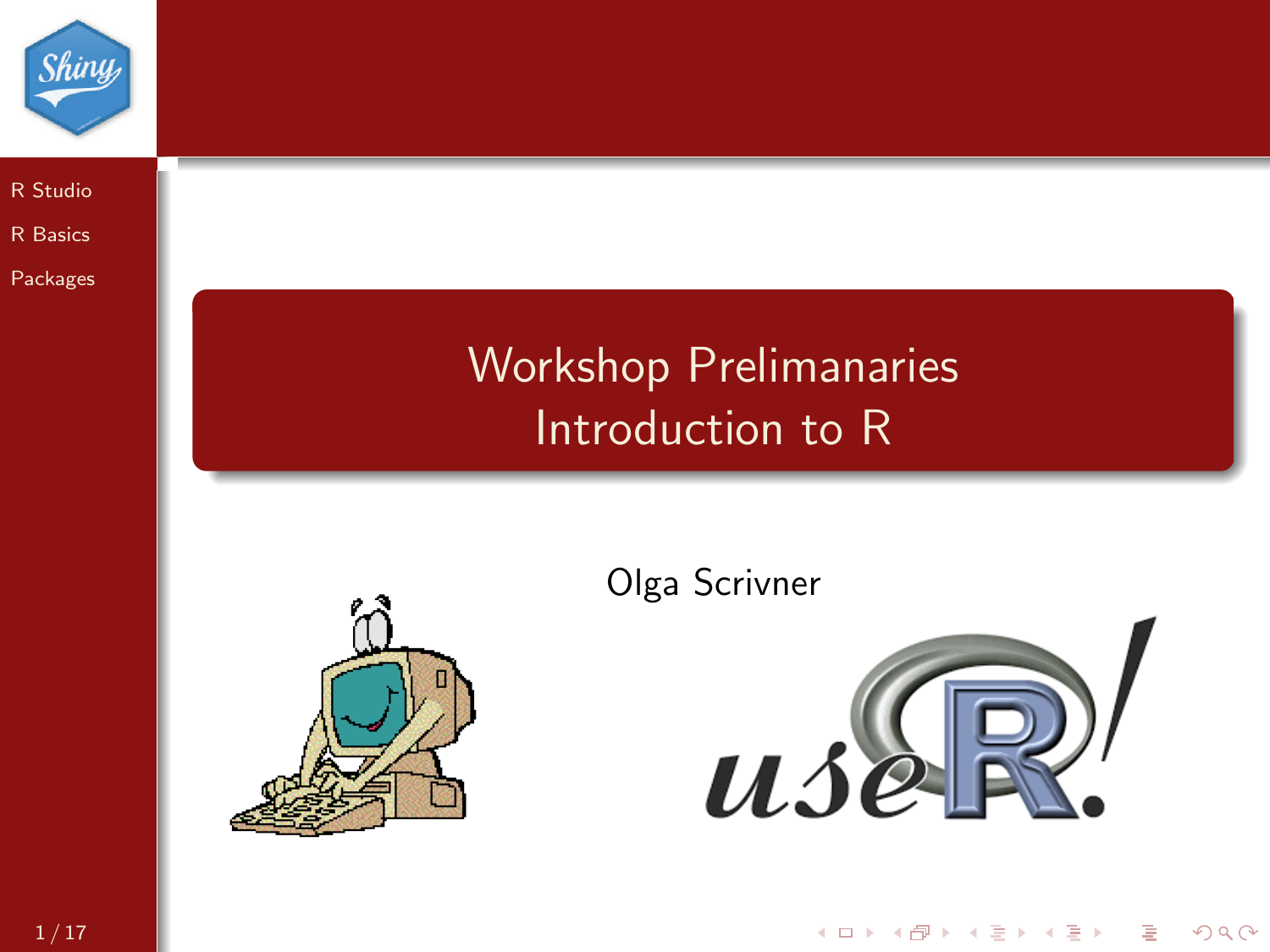

[R Studio](#page-1-0) [R Basics](#page-6-0) [Packages](#page-12-0)

## Workshop Prelimanaries Introduction to R



Olga Scrivner



K ロ > K @ > K 할 > K 할 > 1 할 > 9 Q Q\*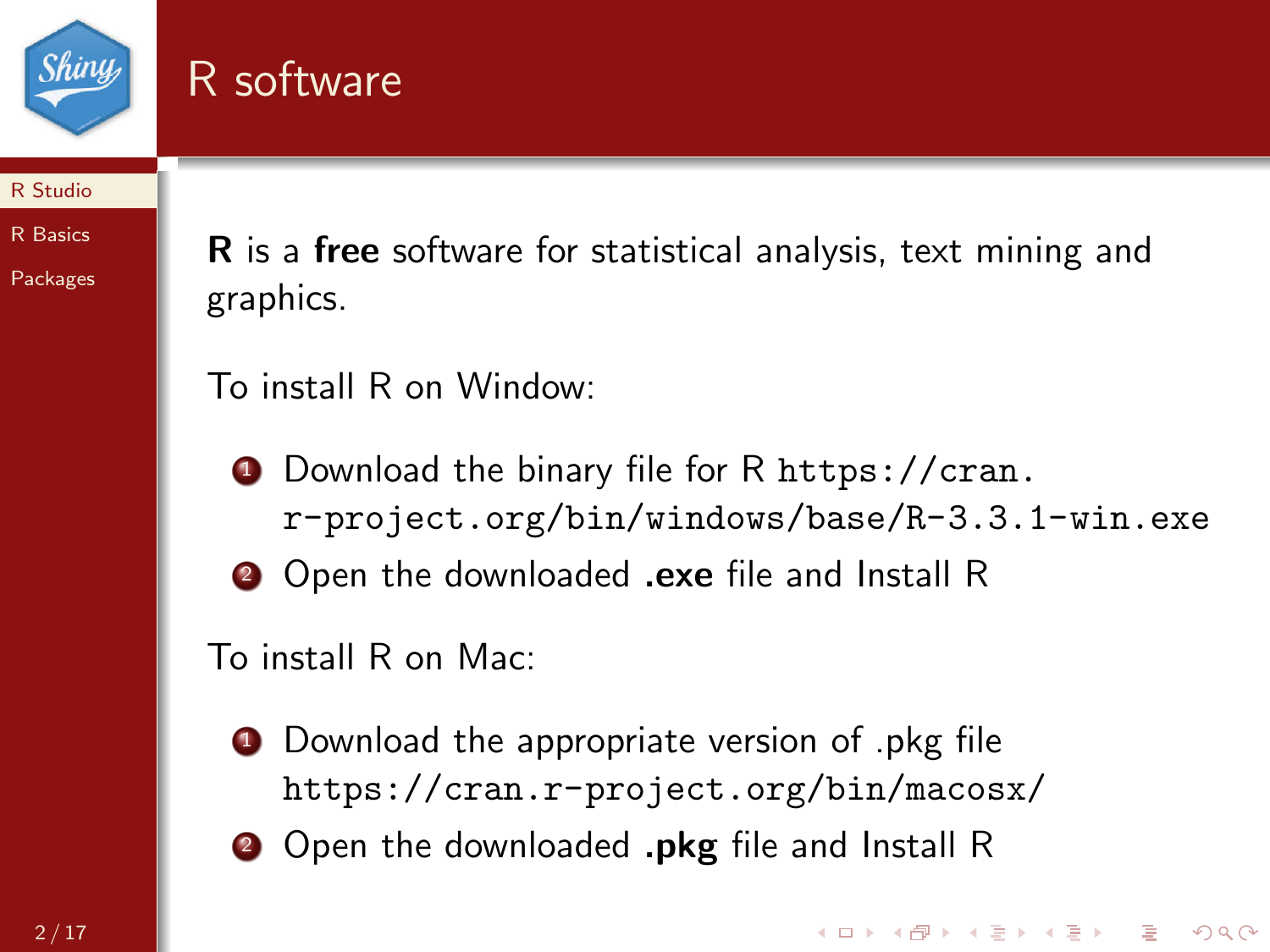

## <span id="page-1-0"></span>R software

#### [R Studio](#page-1-0)

[R Basics](#page-6-0)

[Packages](#page-12-0)

R is a free software for statistical analysis, text mining and graphics.

To install R on Window:

- <sup>1</sup> Download the binary file for R [https://cran.](https://cran.r-project.org/bin/windows/base/R-3.3.1-win.exe) [r-project.org/bin/windows/base/R-3.3.1-win.exe](https://cran.r-project.org/bin/windows/base/R-3.3.1-win.exe)
- **2** Open the downloaded .exe file and Install R

To install R on Mac:

- **1** Download the appropriate version of .pkg file <https://cran.r-project.org/bin/macosx/>
- **2** Open the downloaded **.pkg** file and Install R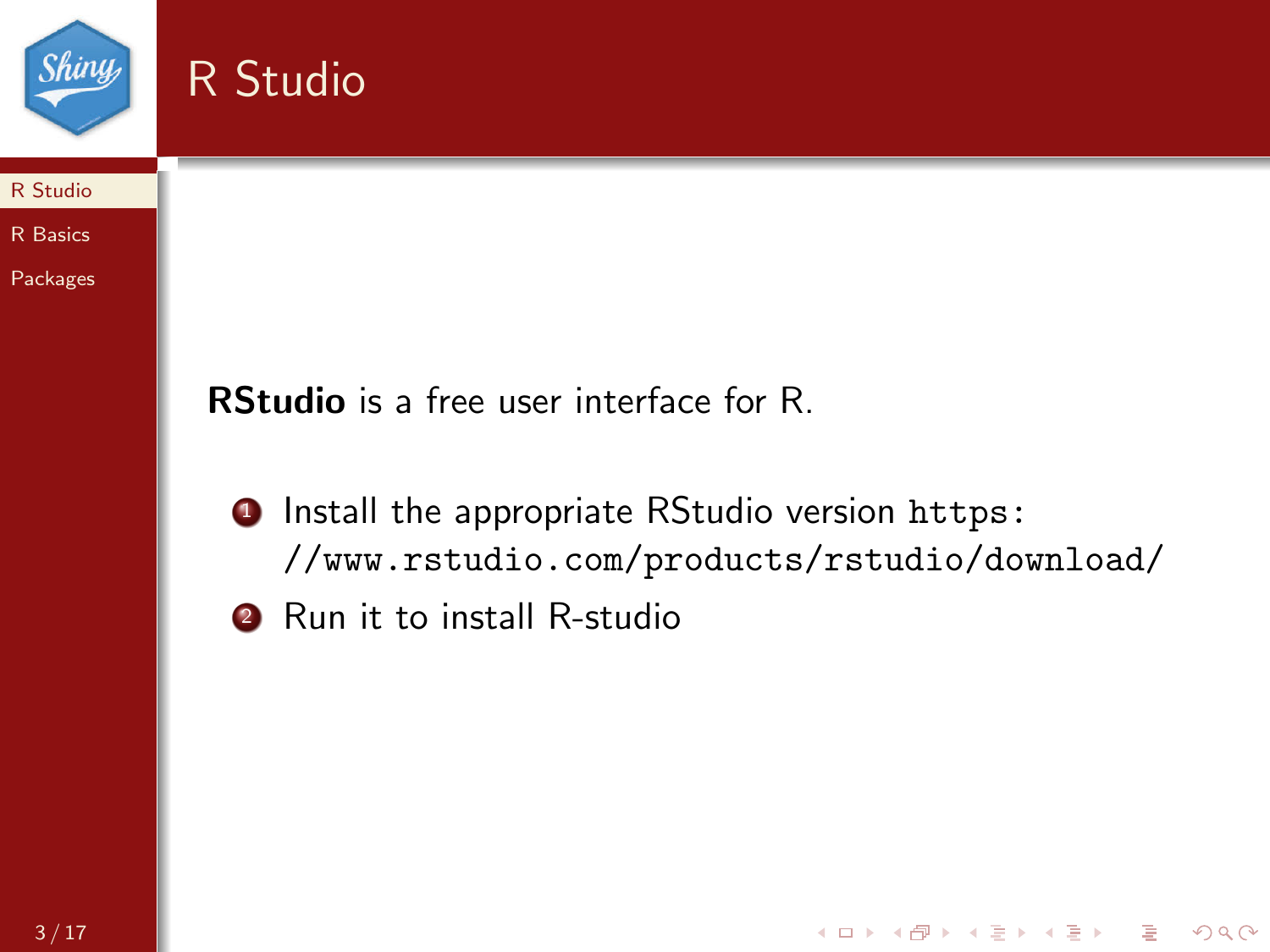

R Studio



[Packages](#page-12-0)

RStudio is a free user interface for R.

**1** Install the appropriate RStudio version [https:](https://www.rstudio.com/products/rstudio/download/) [//www.rstudio.com/products/rstudio/download/](https://www.rstudio.com/products/rstudio/download/)

K ロ > K @ > K 할 > K 할 > 1 할 > 9 Q Q\*

**2** Run it to install R-studio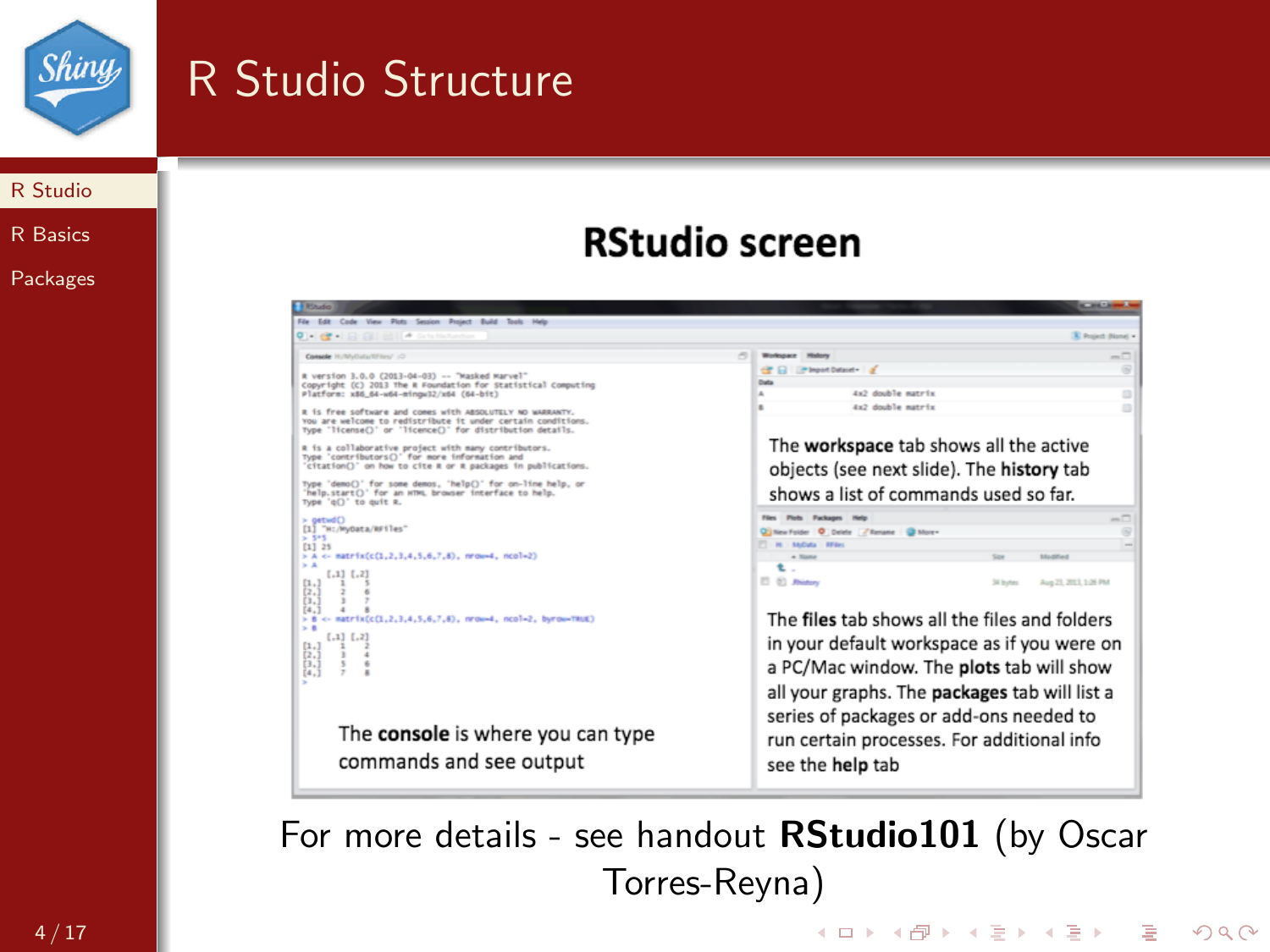

## R Studio Structure

#### [R Studio](#page-1-0)

[R Basics](#page-6-0)

[Packages](#page-12-0)

### **RStudio screen**

| <b>A Ringday</b>                                                                                                                                                                       | <b>BELIEVE CARDS</b>                                                                                                         |  |  |  |  |
|----------------------------------------------------------------------------------------------------------------------------------------------------------------------------------------|------------------------------------------------------------------------------------------------------------------------------|--|--|--|--|
| File Edit Code View Plots Session Project Build Tools Help                                                                                                                             |                                                                                                                              |  |  |  |  |
| $0$ $\rightarrow$ $\alpha$ $\rightarrow$ $\alpha$ $\alpha$ $\rightarrow$ $\alpha$ $\rightarrow$ $\alpha$ $\rightarrow$ $\alpha$ $\rightarrow$ $\alpha$                                 | <b>X</b> Project (None) +                                                                                                    |  |  |  |  |
| Console Hutchforts/SFilm/ (2)                                                                                                                                                          | $\sim$<br>$-\Box$<br><b>Wednesday Highers</b>                                                                                |  |  |  |  |
| # version 3.0.0 (2013-04-03) -- "Masked Marvel"<br>Copyright (C) 2013 The R Foundation for Statistical Computing<br>Platform: x86_64-w64-mingw32/x64 (64-bit)                          | CP El EPhontDatast- d<br><b>Date</b><br>4x2 double matrix                                                                    |  |  |  |  |
| R is free software and comes with ABSOLUTELY NO WARRANTY.<br>You are welcome to redistribute it under certain conditions.<br>Type 'license()' or 'licence()' for distribution details. | 4x2 double matrix                                                                                                            |  |  |  |  |
| R is a collaborative project with many contributors.<br>Type 'contributors()' for more information and<br>'citation()' on how to cite R or R packages in publications.                 | The workspace tab shows all the active<br>objects (see next slide). The history tab<br>shows a list of commands used so far. |  |  |  |  |
| Type 'demo()' for some demos, 'help()' for on-line help, or<br>'help.start()' for an HTML browser interface to help.<br>Type 'q()' to ouit R.                                          |                                                                                                                              |  |  |  |  |
| $>$ $oetwdC$<br>[1] "H:/MyOata/RFiles"<br>5.595<br>$[1]$ 25                                                                                                                            | Files Pints Fachages Help<br>Clifton Folder O Debty / Benana G More -<br>FT : M : AACuta : BEGas                             |  |  |  |  |
| > A <- matrix(c(1,2,3,4,5,6,7,8), nrow-4, ncol=2)<br>$\mathbf{A}$<br>$[1,1]$ $[1,2]$<br>(1, 1)<br>(2,)<br>is.i                                                                         | <b>A Name</b><br>Modified<br>÷<br>[] (b) Ridgey<br>Aug 23, 2013, 1:26 PM<br><b>Tall Houston</b>                              |  |  |  |  |
| [4,1]<br>> 8 <- natrix(c(1,2,3,4,5,6,7,8), nrow-4, ncol=2, byrow-TRUE)<br>> 8                                                                                                          | The files tab shows all the files and folders                                                                                |  |  |  |  |
| $[.1]$ $[.2]$<br>$\frac{[1,1]}{[2,1]}$                                                                                                                                                 | in your default workspace as if you were on                                                                                  |  |  |  |  |
| $\overline{3}$ .<br>(4.3)                                                                                                                                                              | a PC/Mac window. The plots tab will show                                                                                     |  |  |  |  |
|                                                                                                                                                                                        | all your graphs. The packages tab will list a                                                                                |  |  |  |  |
| The console is where you can type<br>commands and see output                                                                                                                           | series of packages or add-ons needed to<br>run certain processes. For additional info<br>see the help tab                    |  |  |  |  |

For more details - see handout RStudio101 (by Oscar Torres-Reyna)

K ロ > K @ > K 할 > K 할 > 1 할 > 9 Q Q\*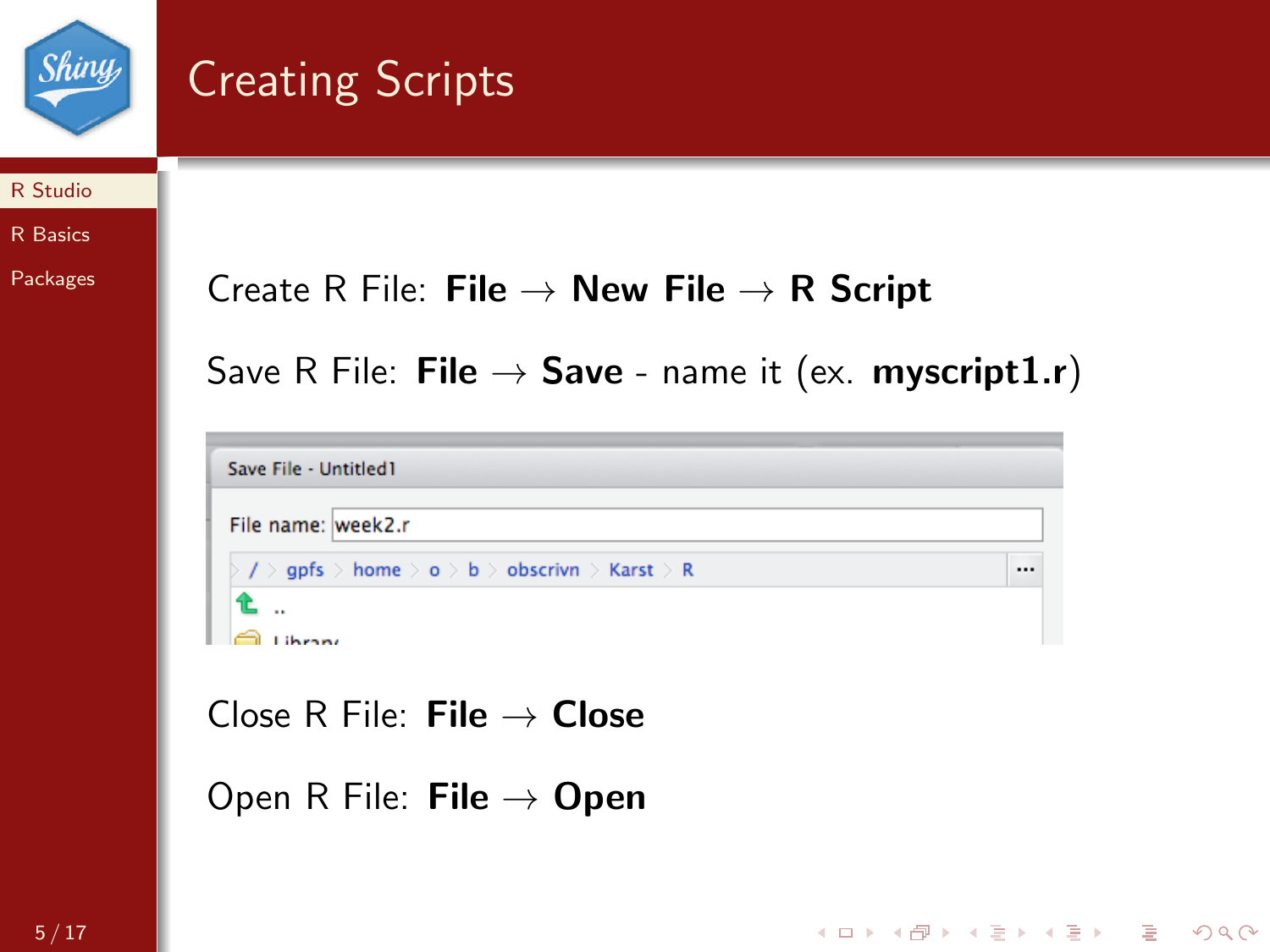

# Creating Scripts

#### [R Studio](#page-1-0)

#### [R Basics](#page-6-0)

[Packages](#page-12-0)

### Create R File: File  $\rightarrow$  New File  $\rightarrow$  R Script

Save R File: File  $\rightarrow$  Save - name it (ex. myscript1.r)

| Save File - Untitled1                          |  |
|------------------------------------------------|--|
| File name: week2.r                             |  |
| / > gpfs > home > o > b > obscrivn > Karst > R |  |
|                                                |  |

K ロ > K @ > K 할 > K 할 > 1 할 > 9 Q Q\*

Close R File: File  $\rightarrow$  Close

Open R File: **File**  $\rightarrow$  Open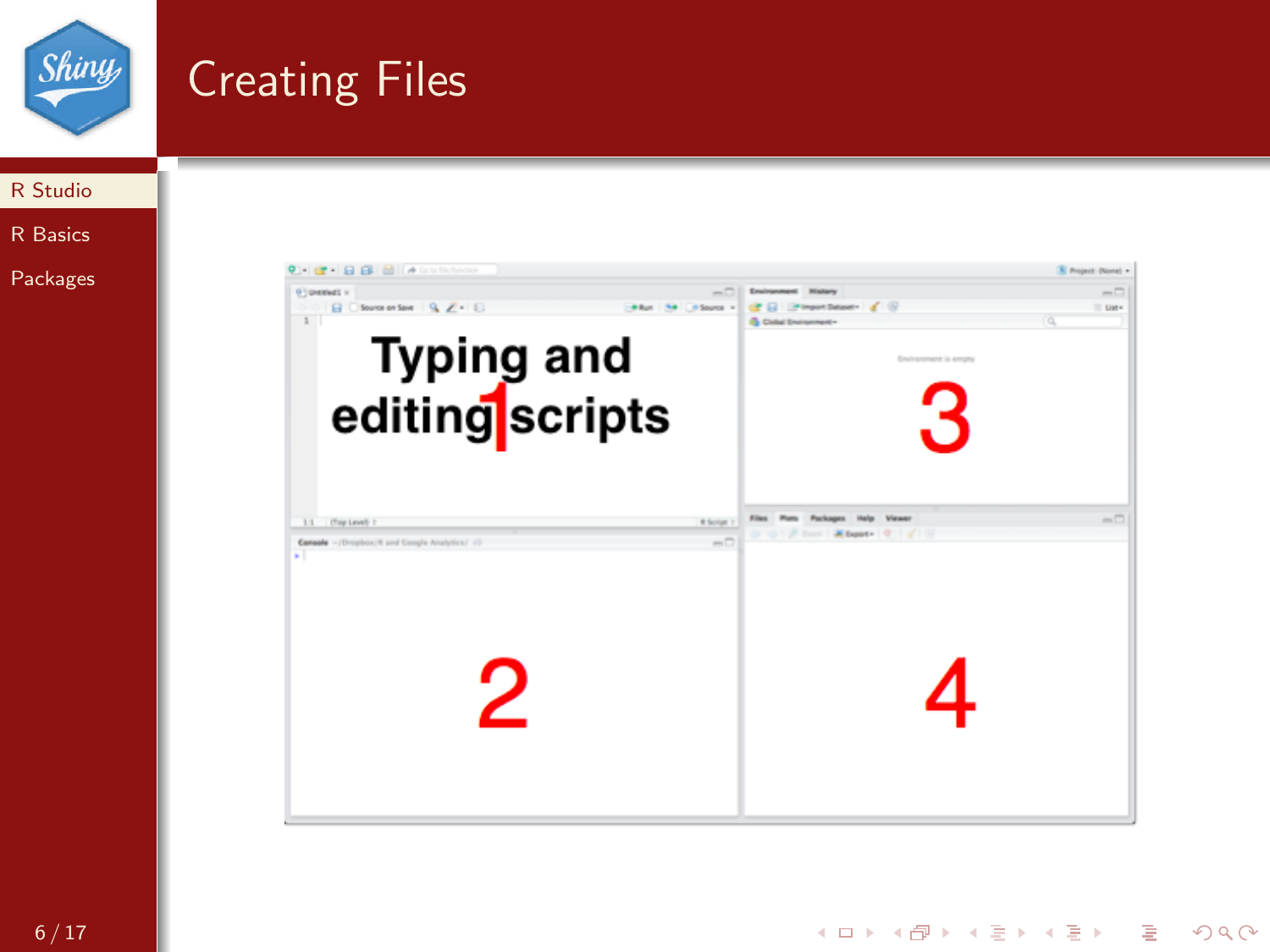

## Creating Files



[R Basics](#page-6-0)

[Packages](#page-12-0)

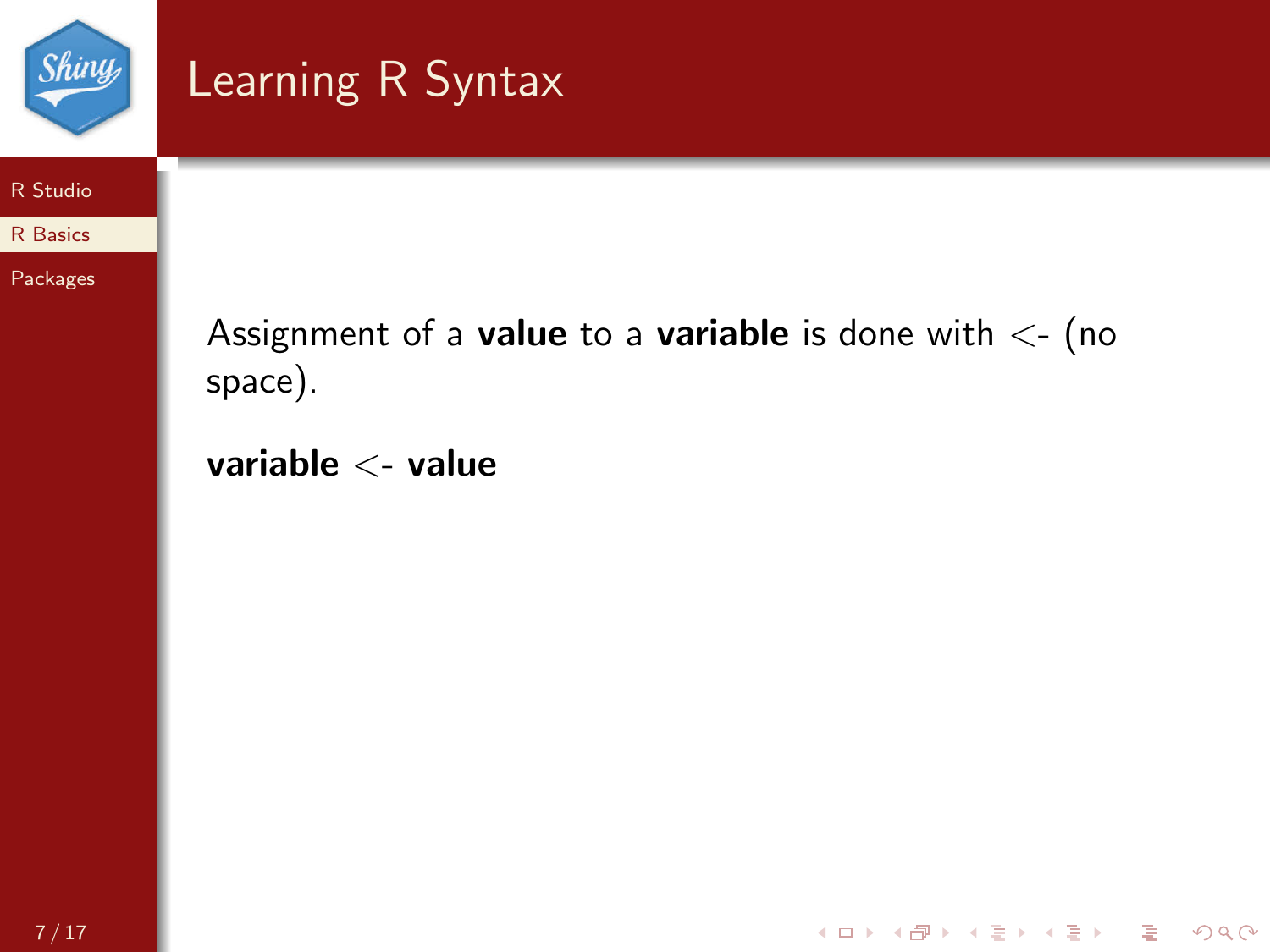

# <span id="page-6-0"></span>Learning R Syntax

#### [R Studio](#page-1-0)

[R Basics](#page-6-0)

[Packages](#page-12-0)

Assignment of a value to a variable is done with  $\lt$ - (no space).

イロト イ御 トイミト イミト ニミー の女の

variable <- value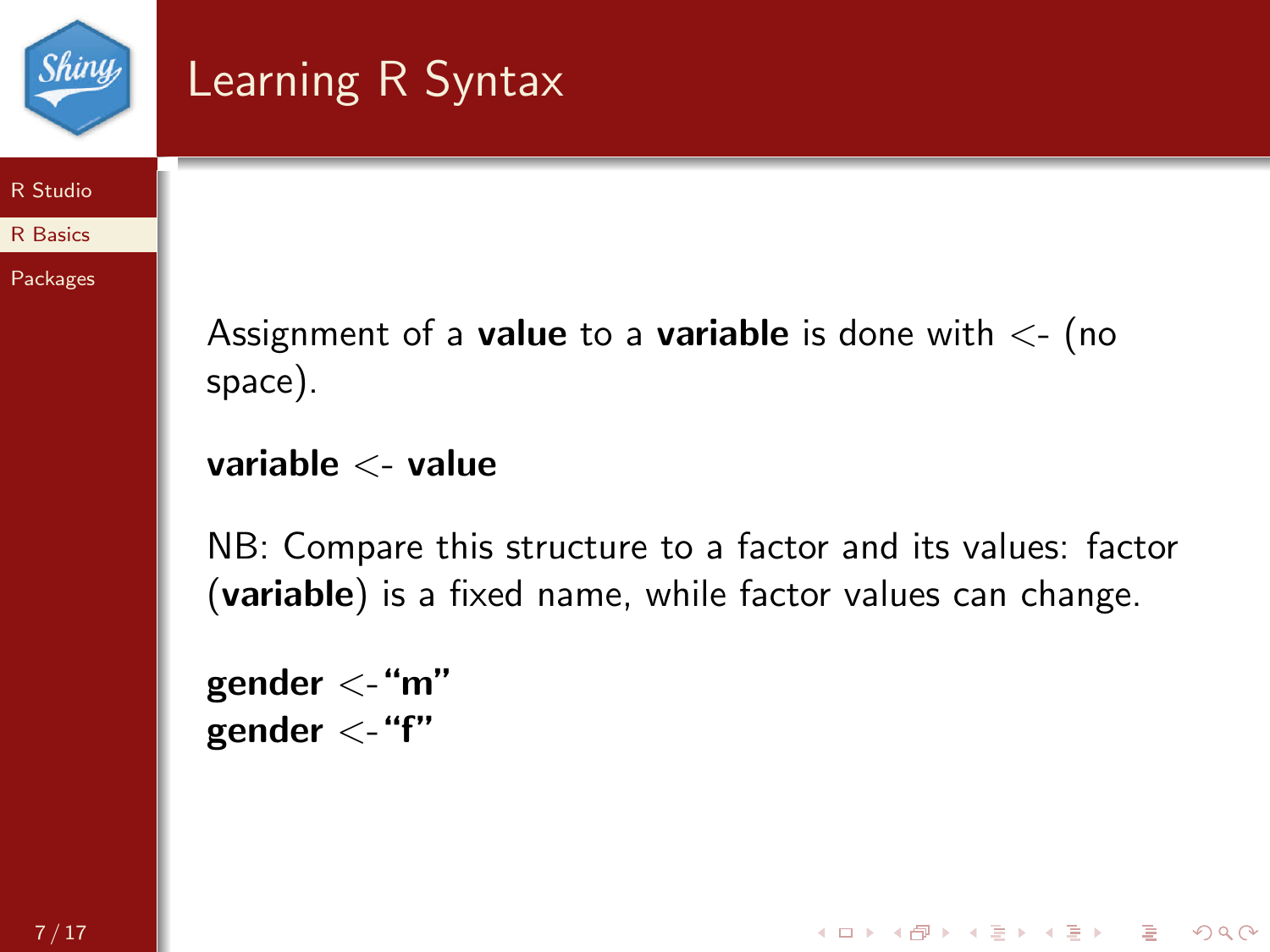

# Learning R Syntax

#### [R Studio](#page-1-0)

[R Basics](#page-6-0)

[Packages](#page-12-0)

Assignment of a **value** to a **variable** is done with  $\lt$ - (no space).

variable <- value

NB: Compare this structure to a factor and its values: factor (variable) is a fixed name, while factor values can change.

**KORK STRATER STRACK** 

gender  $\lt$ -"m" gender  $\lt$ -"f"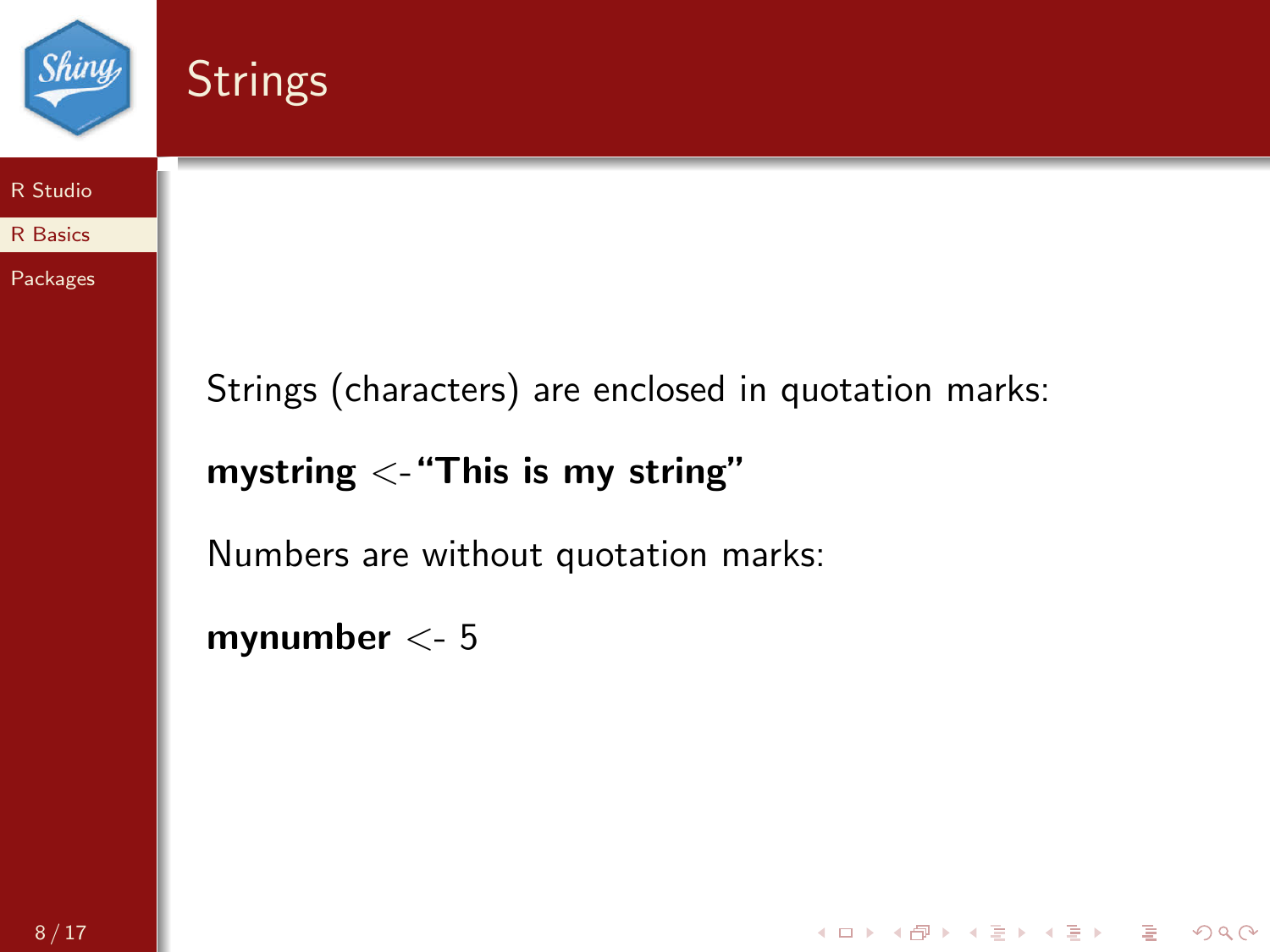

**Strings** 



[R Basics](#page-6-0)

[Packages](#page-12-0)

Strings (characters) are enclosed in quotation marks:

K ロ > K @ > K 할 > K 할 > 1 할 > 9 Q Q\*

mystring  $\lt$ - "This is my string"

Numbers are without quotation marks:

mynumber <- 5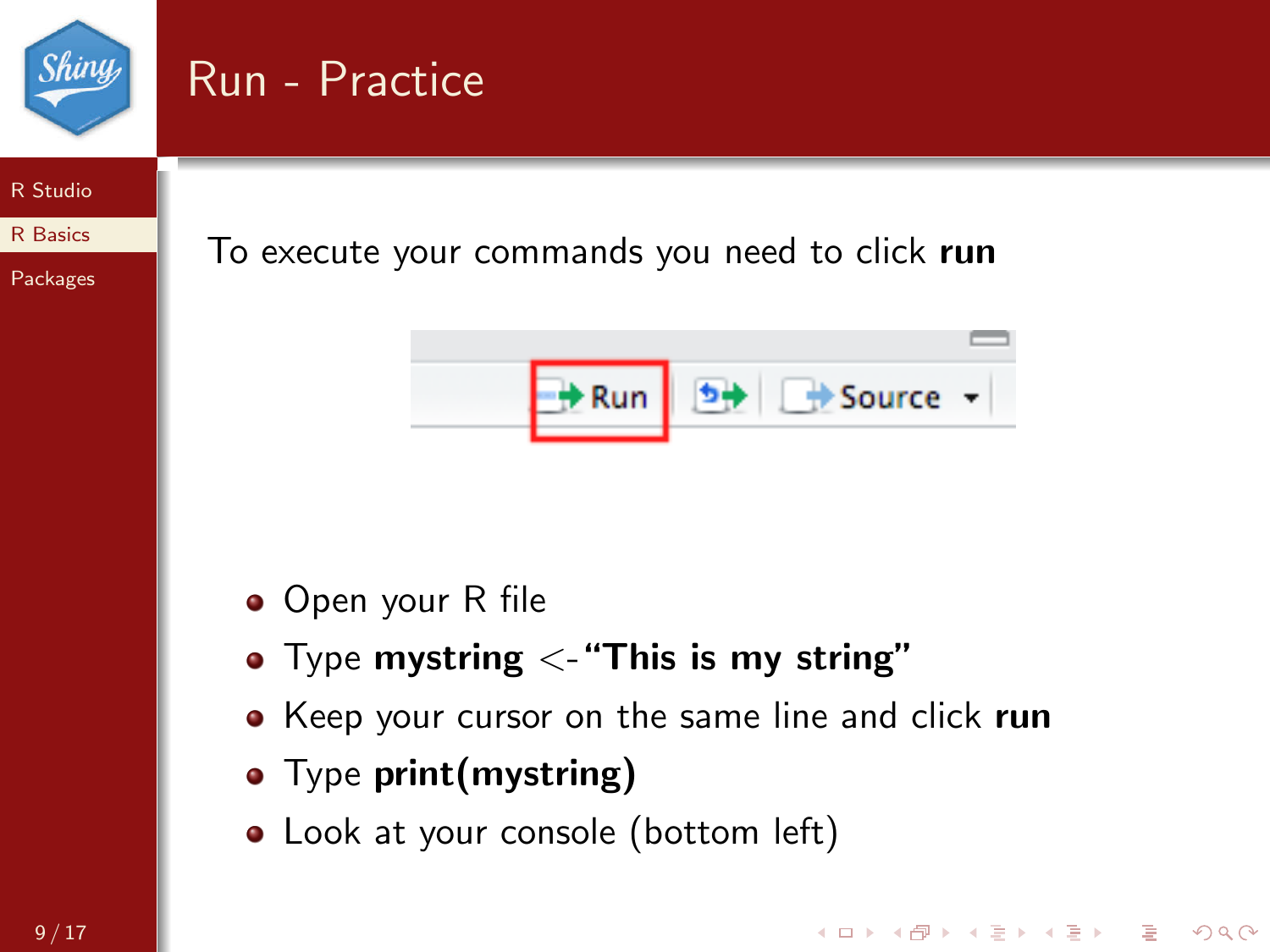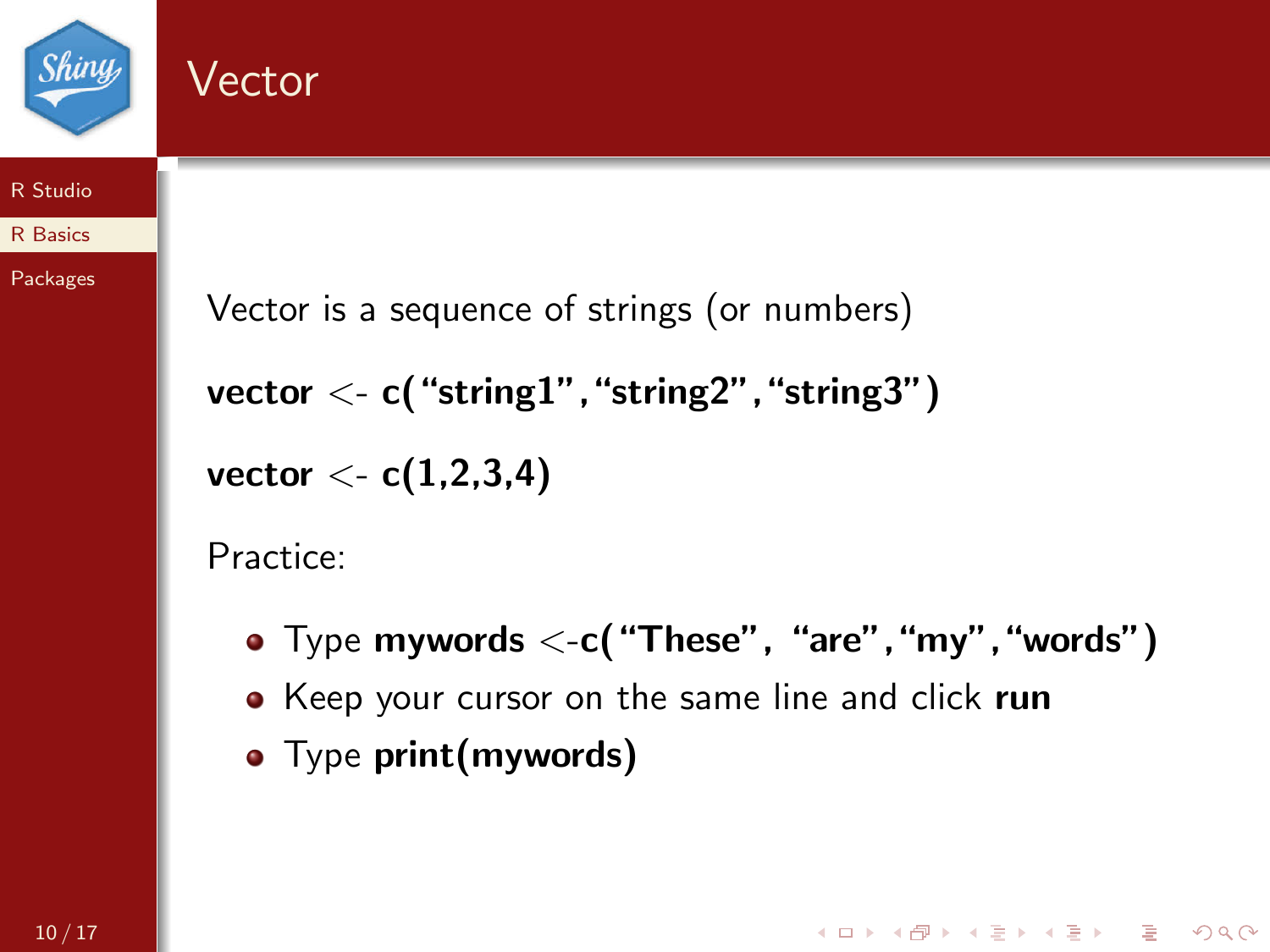

### Vector

#### [R Studio](#page-1-0)

#### [R Basics](#page-6-0)

[Packages](#page-12-0)

```
Vector is a sequence of strings (or numbers)
vector < -c ("string1", "string2", "string3")
vector < c(1,2,3,4)
```
Practice:

• Type mywords  $\lt$ -c( "These", "are", "my", "words")

**KORK STRATER STRACK** 

- Keep your cursor on the same line and click run
- Type print(mywords)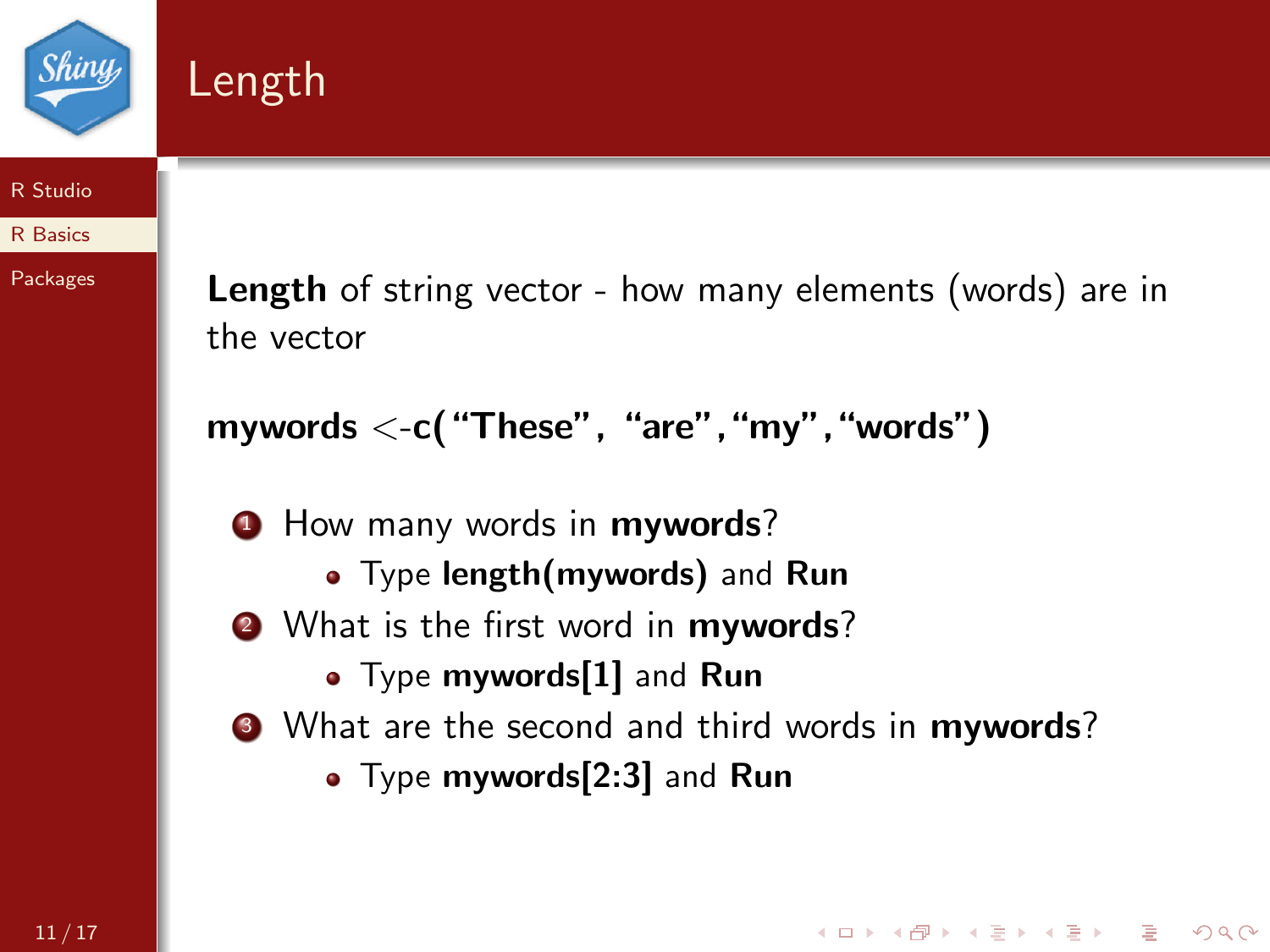



#### [R Studio](#page-1-0)

[R Basics](#page-6-0)

[Packages](#page-12-0)

Length of string vector - how many elements (words) are in the vector

```
mywords \lt-c("These", "are", "my", "words")
```
**1** How many words in **mywords**?

- Type length(mywords) and Run
- 2 What is the first word in **mywords**?
	- Type mywords[1] and Run
- **3** What are the second and third words in **mywords**?

**KORK EXTERNE PROVIDE** 

• Type mywords[2:3] and Run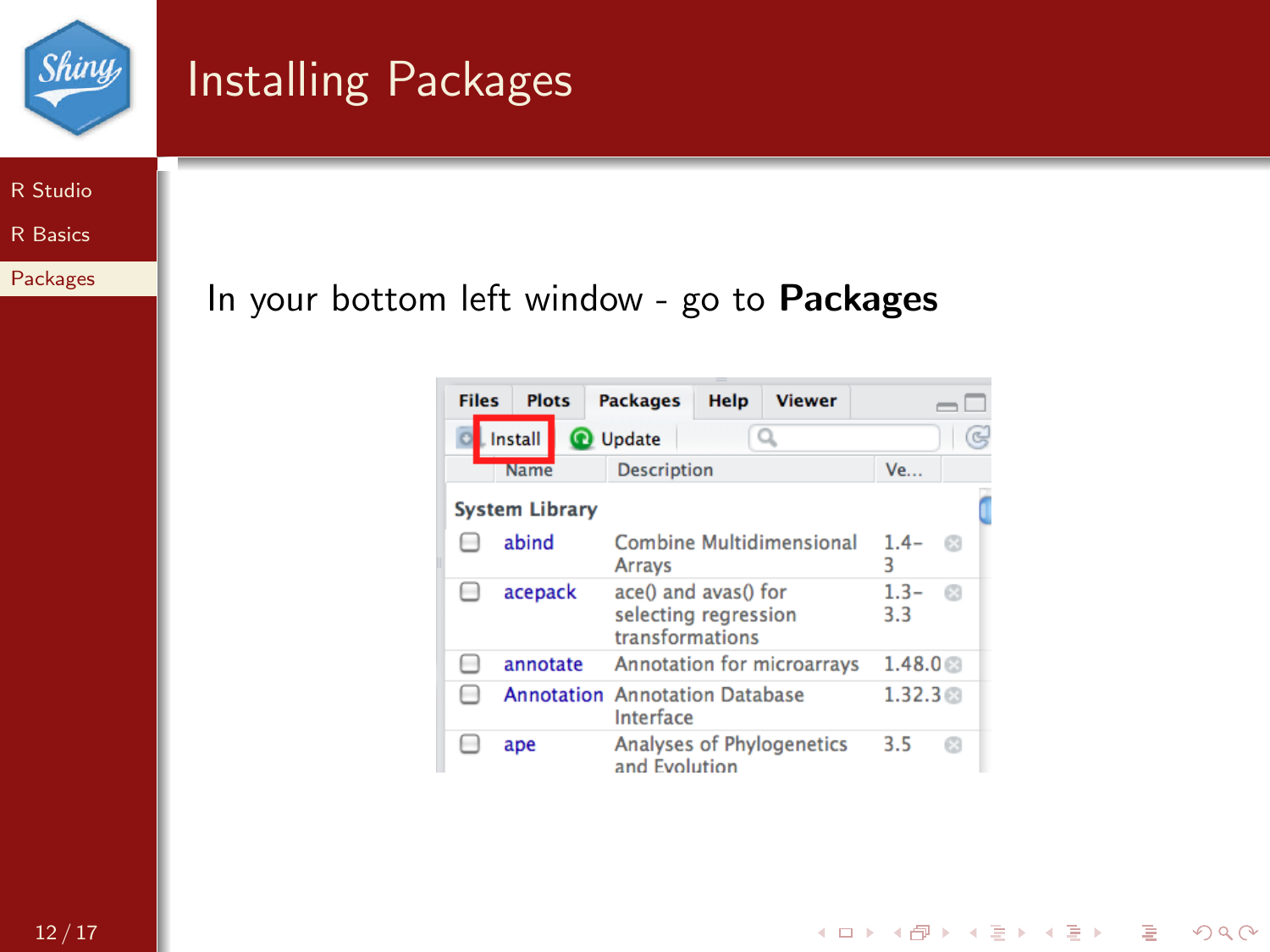

# <span id="page-12-0"></span>Installing Packages

[R Studio](#page-1-0)

[R Basics](#page-6-0)

[Packages](#page-12-0)

In your bottom left window - go to Packages

| <b>Files</b> | <b>Plots</b>                          | <b>Packages</b>                                                 | Help | <b>Viewer</b>                     |                |    |
|--------------|---------------------------------------|-----------------------------------------------------------------|------|-----------------------------------|----------------|----|
|              | Install                               | <b>Q</b> Update                                                 |      |                                   |                | G  |
|              | <b>Name</b>                           | <b>Description</b>                                              |      |                                   | <b>Ve</b>      |    |
|              | <b>System Library</b>                 |                                                                 |      |                                   |                |    |
|              | abind                                 | <b>Arrays</b>                                                   |      | Combine Multidimensional          | $1.4 -$<br>٦   | 63 |
|              | acepack                               | ace() and avas() for<br>selecting regression<br>transformations |      |                                   | $1.3 -$<br>3.3 | G3 |
|              | annotate                              |                                                                 |      | <b>Annotation for microarrays</b> | 1.48.0         |    |
|              | <b>Annotation</b> Annotation Database | Interface                                                       |      |                                   | 1.32.3         |    |
|              | ape                                   | and Evolution                                                   |      | <b>Analyses of Phylogenetics</b>  | 3.5            | £3 |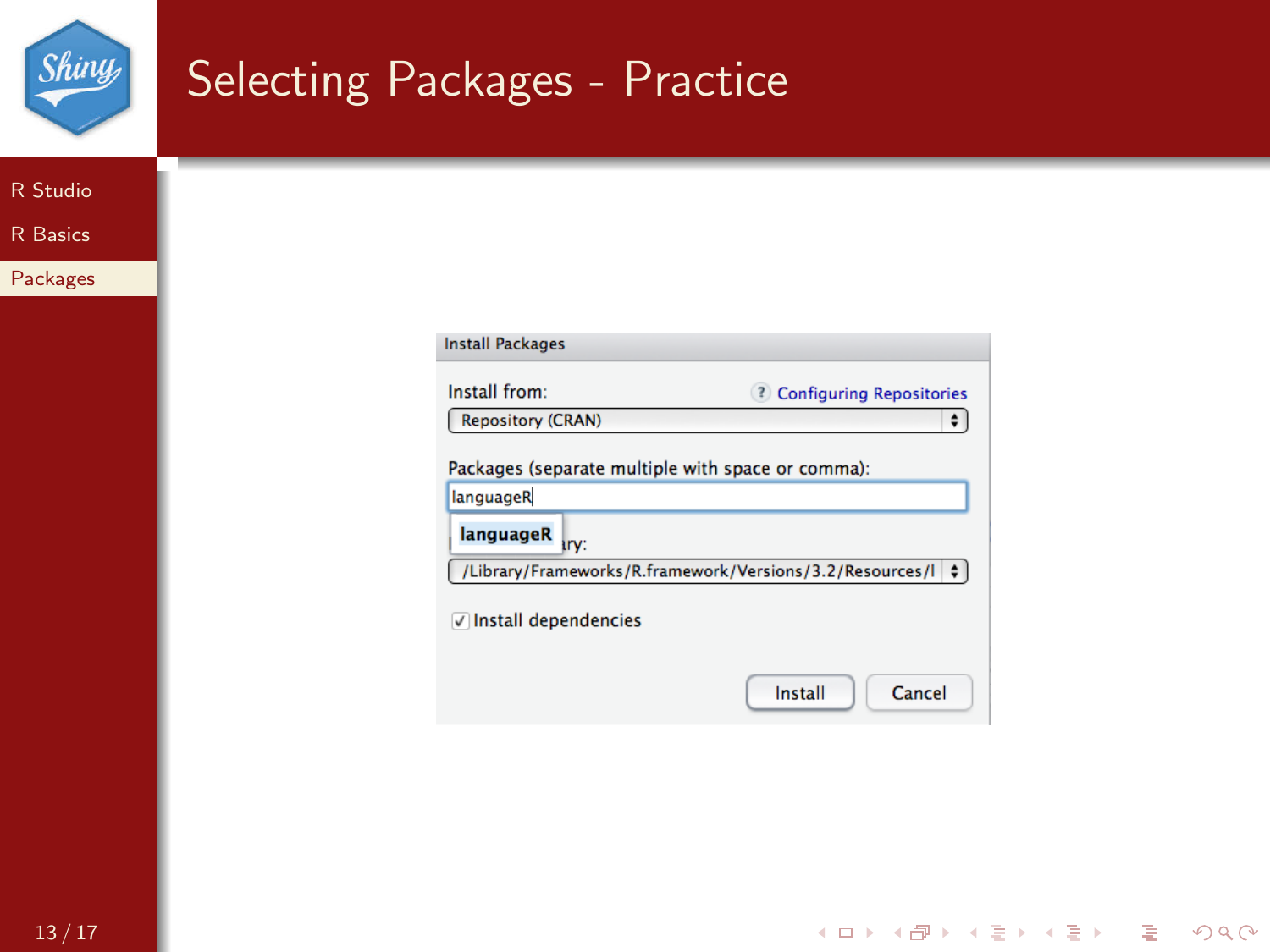| <i>Shiny</i>    | Selecting Packages - Practice                                                                                                                                                                                                                                                                                                |
|-----------------|------------------------------------------------------------------------------------------------------------------------------------------------------------------------------------------------------------------------------------------------------------------------------------------------------------------------------|
| R Studio        |                                                                                                                                                                                                                                                                                                                              |
| <b>R</b> Basics |                                                                                                                                                                                                                                                                                                                              |
| Packages        |                                                                                                                                                                                                                                                                                                                              |
|                 | <b>Install Packages</b><br>Install from:<br><b>2</b> Configuring Repositories<br><b>Repository (CRAN)</b><br>$\div$<br>Packages (separate multiple with space or comma):<br>languageR<br>languageR<br>iry:<br>/Library/Frameworks/R.framework/Versions/3.2/Resources/I $\div$<br>√ Install dependencies<br>Install<br>Cancel |

イロト (部) (ミ) (ミ) (ミ) ミーの女々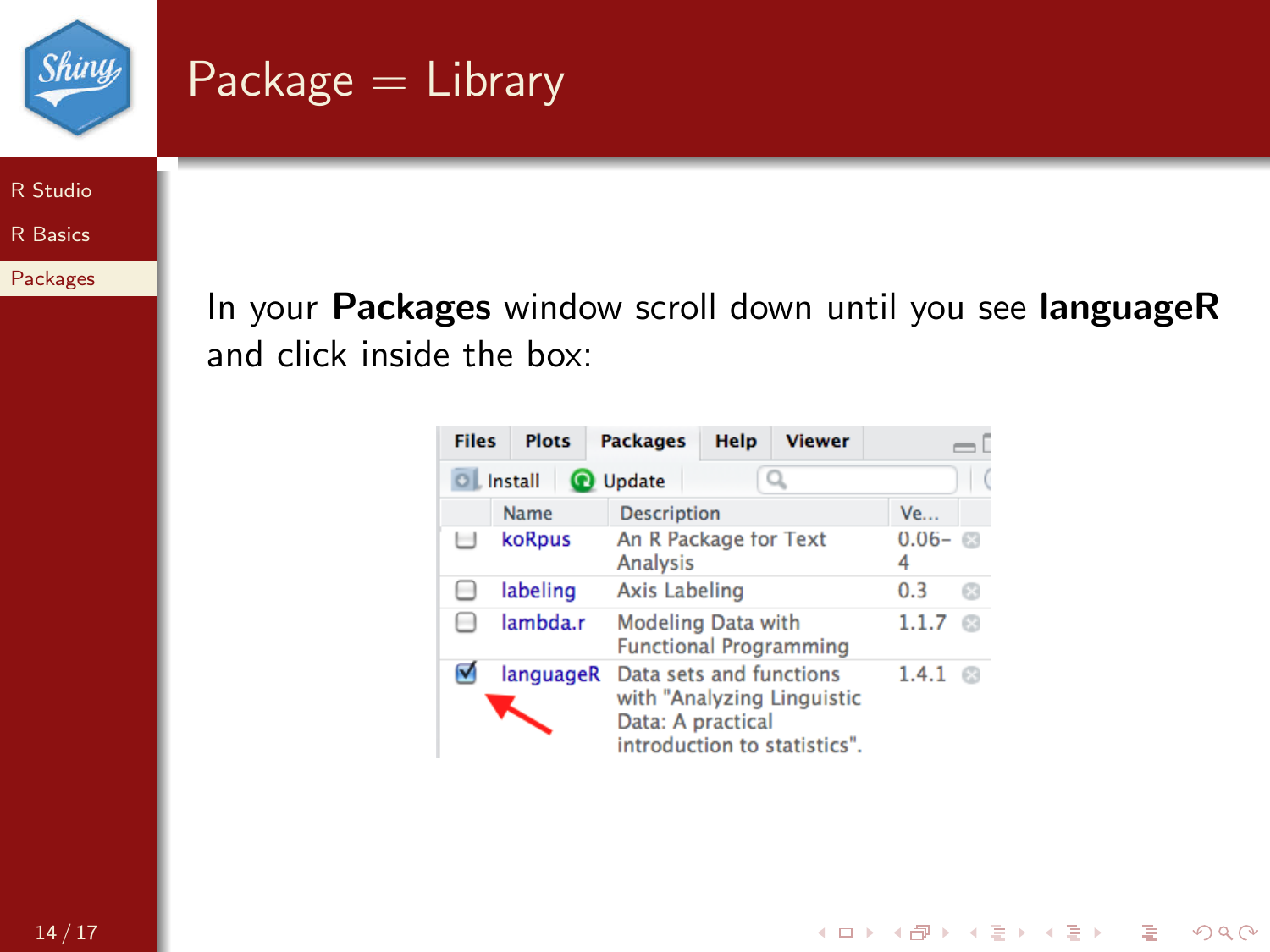

# $Package = Library$

[R Studio](#page-1-0)

[R Basics](#page-6-0)

[Packages](#page-12-0)

In your Packages window scroll down until you see languageR and click inside the box:

| <b>Files</b> | <b>Plots</b>                  | <b>Packages</b>                                            | Help | <b>Viewer</b>                                              |                    |    |
|--------------|-------------------------------|------------------------------------------------------------|------|------------------------------------------------------------|--------------------|----|
|              | OL Install<br><b>O</b> Update |                                                            |      |                                                            |                    |    |
|              | Name                          | <b>Description</b>                                         |      |                                                            | <b>Ve</b>          |    |
|              | koRpus                        | An R Package for Text<br>Analysis                          |      |                                                            | $0.06 - \Box$<br>4 |    |
|              | labeling                      | Axis Labeling                                              |      |                                                            | 0.3                | C3 |
|              | lambda.r                      | <b>Modeling Data with</b><br><b>Functional Programming</b> |      |                                                            | 1.1.7              |    |
|              | languageR                     | Data sets and functions<br>Data: A practical               |      | with "Analyzing Linguistic<br>introduction to statistics". | 1.4.1              |    |

K ロ > K @ > K 할 > K 할 > 1 할 > 9 Q Q\*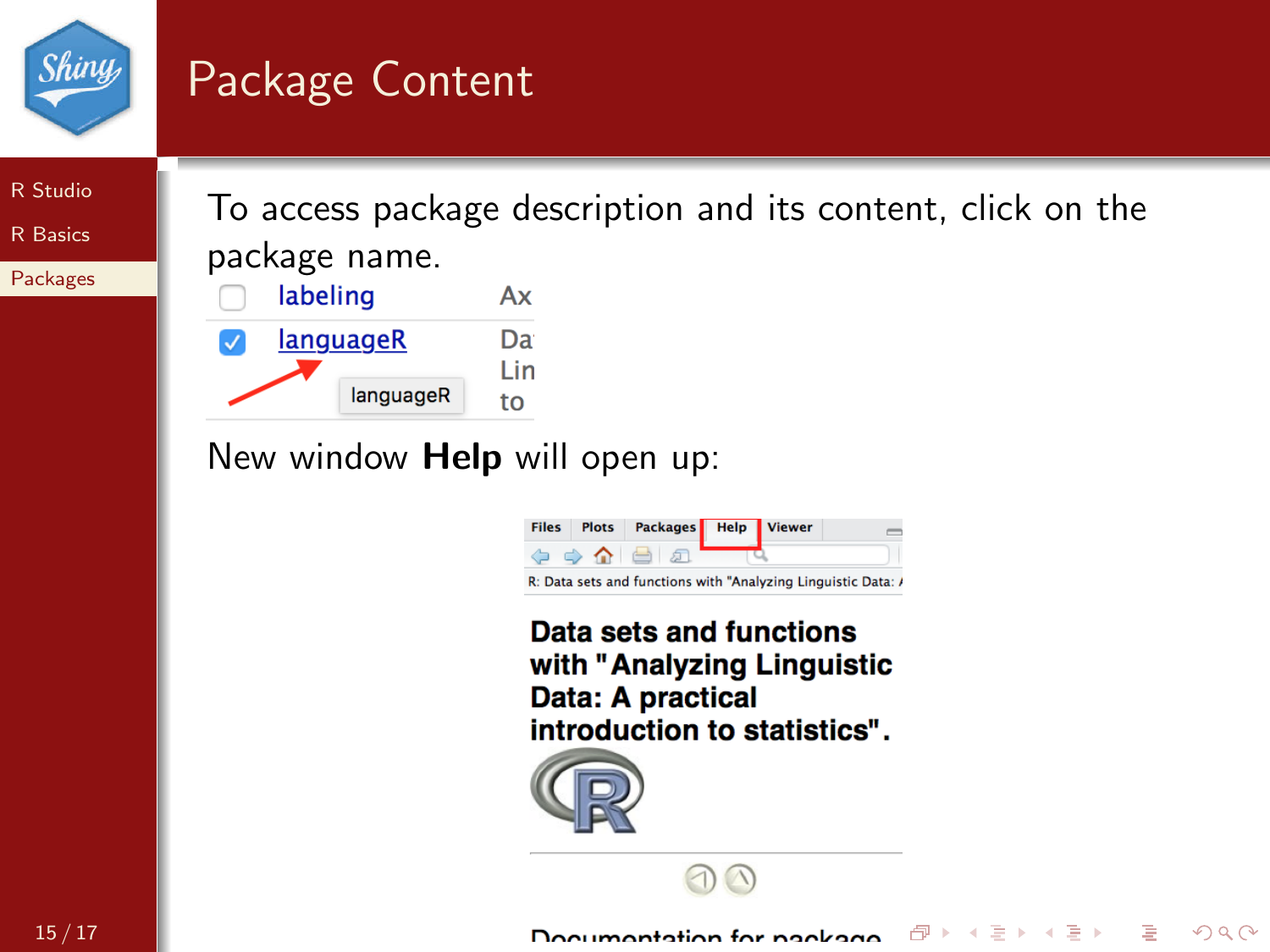

# Package Content

[R Studio](#page-1-0)

[R Basics](#page-6-0)

[Packages](#page-12-0)

To access package description and its content, click on the package name.



New window Help will open up:



Data sets and functions with "Analyzing Linguistic Data: A practical introduction to statistics".



医阿里氏阿里氏

一句

重

 $OQ$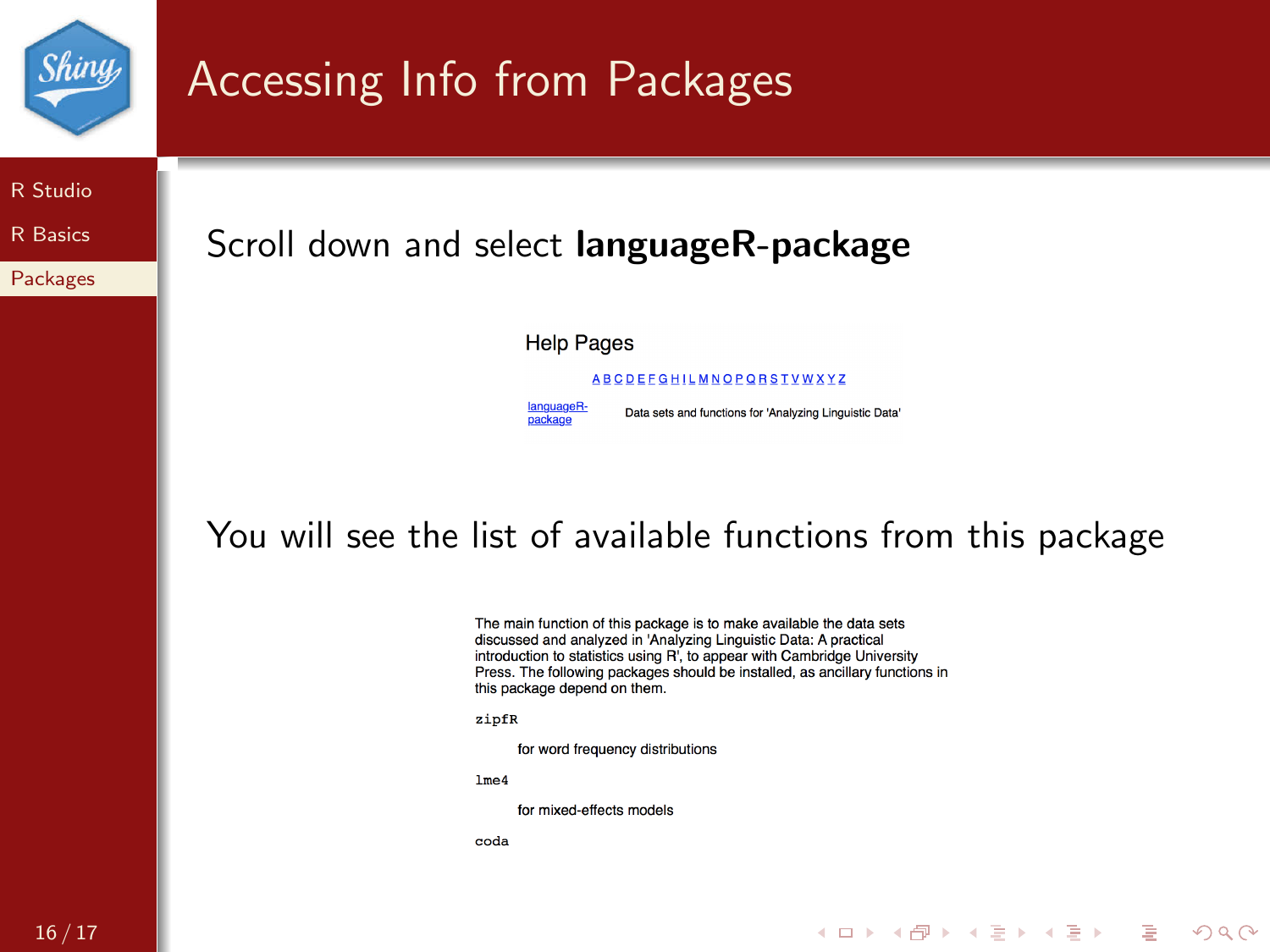

#### 16 / 17

#### **KORK STRAIN A BAR STRAKER**